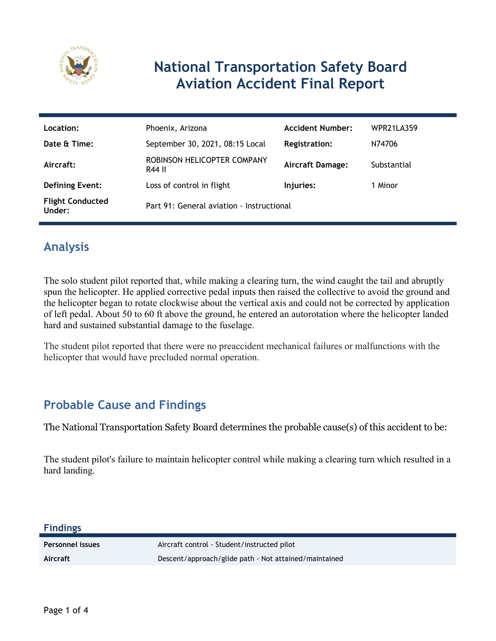

# **National Transportation Safety Board Aviation Accident Final Report**

| Location:                         | Phoenix, Arizona                          | <b>Accident Number:</b> | <b>WPR21LA359</b> |
|-----------------------------------|-------------------------------------------|-------------------------|-------------------|
| Date & Time:                      | September 30, 2021, 08:15 Local           | Registration:           | N74706            |
| Aircraft:                         | ROBINSON HELICOPTER COMPANY<br>R44 II     | <b>Aircraft Damage:</b> | Substantial       |
| <b>Defining Event:</b>            | Loss of control in flight                 | Injuries:               | 1 Minor           |
| <b>Flight Conducted</b><br>Under: | Part 91: General aviation - Instructional |                         |                   |

### **Analysis**

The solo student pilot reported that, while making a clearing turn, the wind caught the tail and abruptly spun the helicopter. He applied corrective pedal inputs then raised the collective to avoid the ground and the helicopter began to rotate clockwise about the vertical axis and could not be corrected by application of left pedal. About 50 to 60 ft above the ground, he entered an autorotation where the helicopter landed hard and sustained substantial damage to the fuselage.

The student pilot reported that there were no preaccident mechanical failures or malfunctions with the helicopter that would have precluded normal operation.

## **Probable Cause and Findings**

The National Transportation Safety Board determines the probable cause(s) of this accident to be:

The student pilot's failure to maintain helicopter control while making a clearing turn which resulted in a hard landing.

**Findings**

**Personnel issues** Aircraft control - Student/instructed pilot **Aircraft** Descent/approach/glide path - Not attained/maintained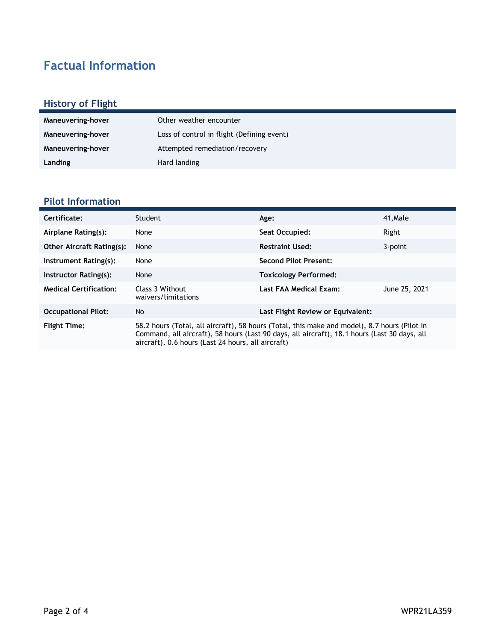# **Factual Information**

## **History of Flight**

| Maneuvering-hover | Other weather encounter                    |
|-------------------|--------------------------------------------|
| Maneuvering-hover | Loss of control in flight (Defining event) |
| Maneuvering-hover | Attempted remediation/recovery             |
| Landing           | Hard landing                               |

### **Pilot Information**

| Certificate:                     | Student                                                                                                                                                                                                                                            | Age:                              | 41.Male       |
|----------------------------------|----------------------------------------------------------------------------------------------------------------------------------------------------------------------------------------------------------------------------------------------------|-----------------------------------|---------------|
| Airplane Rating(s):              | None                                                                                                                                                                                                                                               | Seat Occupied:                    | Right         |
| <b>Other Aircraft Rating(s):</b> | None                                                                                                                                                                                                                                               | <b>Restraint Used:</b>            | 3-point       |
| Instrument Rating(s):            | None                                                                                                                                                                                                                                               | <b>Second Pilot Present:</b>      |               |
| Instructor Rating(s):            | None                                                                                                                                                                                                                                               | <b>Toxicology Performed:</b>      |               |
| <b>Medical Certification:</b>    | Class 3 Without<br>waivers/limitations                                                                                                                                                                                                             | Last FAA Medical Exam:            | June 25, 2021 |
| <b>Occupational Pilot:</b>       | No.                                                                                                                                                                                                                                                | Last Flight Review or Equivalent: |               |
| <b>Flight Time:</b>              | 58.2 hours (Total, all aircraft), 58 hours (Total, this make and model), 8.7 hours (Pilot In<br>Command, all aircraft), 58 hours (Last 90 days, all aircraft), 18.1 hours (Last 30 days, all<br>aircraft), 0.6 hours (Last 24 hours, all aircraft) |                                   |               |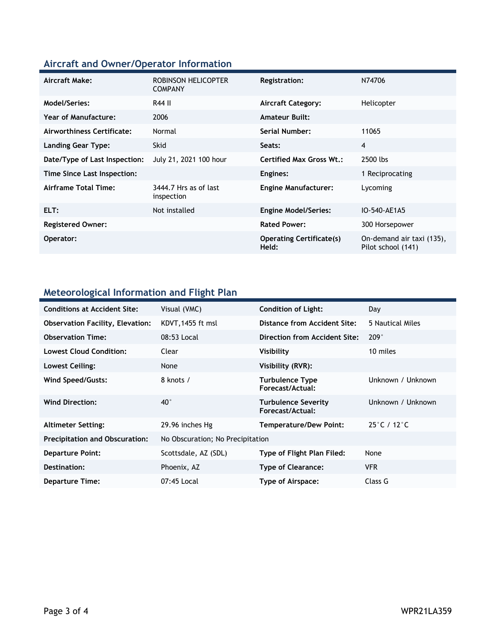### **Aircraft and Owner/Operator Information**

| Aircraft Make:                | ROBINSON HELICOPTER<br><b>COMPANY</b> | <b>Registration:</b>                     | N74706                                          |
|-------------------------------|---------------------------------------|------------------------------------------|-------------------------------------------------|
| Model/Series:                 | R44 II                                | <b>Aircraft Category:</b>                | Helicopter                                      |
| <b>Year of Manufacture:</b>   | 2006                                  | <b>Amateur Built:</b>                    |                                                 |
| Airworthiness Certificate:    | Normal                                | <b>Serial Number:</b>                    | 11065                                           |
| Landing Gear Type:            | <b>Skid</b>                           | Seats:                                   | 4                                               |
| Date/Type of Last Inspection: | July 21, 2021 100 hour                | <b>Certified Max Gross Wt.:</b>          | 2500 lbs                                        |
| Time Since Last Inspection:   |                                       | Engines:                                 | 1 Reciprocating                                 |
| Airframe Total Time:          | 3444.7 Hrs as of last<br>inspection   | <b>Engine Manufacturer:</b>              | Lycoming                                        |
| ELT:                          | Not installed                         | <b>Engine Model/Series:</b>              | IO-540-AE1A5                                    |
| <b>Registered Owner:</b>      |                                       | <b>Rated Power:</b>                      | 300 Horsepower                                  |
| Operator:                     |                                       | <b>Operating Certificate(s)</b><br>Held: | On-demand air taxi (135),<br>Pilot school (141) |

## **Meteorological Information and Flight Plan**

| <b>Conditions at Accident Site:</b>     | Visual (VMC)                     | <b>Condition of Light:</b>                     | Day                              |
|-----------------------------------------|----------------------------------|------------------------------------------------|----------------------------------|
| <b>Observation Facility, Elevation:</b> | KDVT, 1455 ft msl                | Distance from Accident Site:                   | 5 Nautical Miles                 |
| <b>Observation Time:</b>                | 08:53 Local                      | Direction from Accident Site:                  | 209°                             |
| <b>Lowest Cloud Condition:</b>          | Clear                            | Visibility                                     | 10 miles                         |
| Lowest Ceiling:                         | None                             | Visibility (RVR):                              |                                  |
| Wind Speed/Gusts:                       | 8 knots /                        | <b>Turbulence Type</b><br>Forecast/Actual:     | Unknown / Unknown                |
| <b>Wind Direction:</b>                  | $40^{\circ}$                     | <b>Turbulence Severity</b><br>Forecast/Actual: | Unknown / Unknown                |
| <b>Altimeter Setting:</b>               | 29.96 inches Hg                  | <b>Temperature/Dew Point:</b>                  | $25^{\circ}$ C / 12 $^{\circ}$ C |
| <b>Precipitation and Obscuration:</b>   | No Obscuration; No Precipitation |                                                |                                  |
| <b>Departure Point:</b>                 | Scottsdale, AZ (SDL)             | Type of Flight Plan Filed:                     | None                             |
| Destination:                            | Phoenix, AZ                      | <b>Type of Clearance:</b>                      | <b>VFR</b>                       |
| <b>Departure Time:</b>                  | 07:45 Local                      | Type of Airspace:                              | Class G                          |